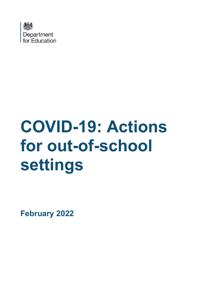

# **COVID-19: Actions for out-of-school settings**

**February 2022**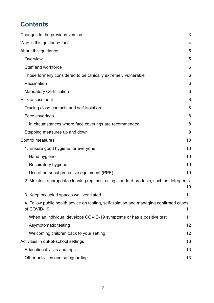# **Contents**

| Changes to the previous version                                                                       | 3  |
|-------------------------------------------------------------------------------------------------------|----|
| Who is this guidance for?                                                                             | 4  |
| About this guidance                                                                                   | 5  |
| Overview                                                                                              | 5  |
| Staff and workforce                                                                                   | 5  |
| Those formerly considered to be clinically extremely vulnerable                                       | 6  |
| Vaccination                                                                                           | 6  |
| <b>Mandatory Certification</b>                                                                        | 6  |
| <b>Risk assessment</b>                                                                                | 8  |
| Tracing close contacts and self-isolation                                                             | 8  |
| Face coverings                                                                                        | 8  |
| In circumstances where face coverings are recommended                                                 | 8  |
| Stepping measures up and down                                                                         | 9  |
| <b>Control measures</b>                                                                               | 10 |
| 1. Ensure good hygiene for everyone                                                                   | 10 |
| Hand hygiene                                                                                          | 10 |
| Respiratory hygiene                                                                                   | 10 |
| Use of personal protective equipment (PPE)                                                            | 10 |
| 2. Maintain appropriate cleaning regimes, using standard products, such as detergents                 | 10 |
| 3. Keep occupied spaces well ventilated                                                               | 11 |
| 4. Follow public health advice on testing, self-isolation and managing confirmed cases<br>of COVID-19 | 11 |
| When an individual develops COVID-19 symptoms or has a positive test                                  | 11 |
| Asymptomatic testing                                                                                  | 12 |
| Welcoming children back to your setting                                                               | 12 |
| Activities in out-of-school settings                                                                  | 13 |
| Educational visits and trips                                                                          | 13 |
| Other activities and safeguarding                                                                     | 13 |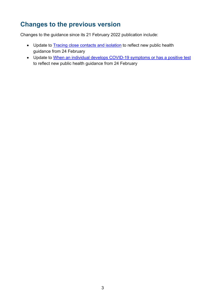# <span id="page-2-0"></span>**Changes to the previous version**

Changes to the guidance since its 21 February 2022 publication include:

- Update to [Tracing close contacts and isolation](#page-7-1) to reflect new public health guidance from 24 February
- Update to [When an individual develops COVID-19 symptoms or has a positive test](#page-10-2) to reflect new public health guidance from 24 February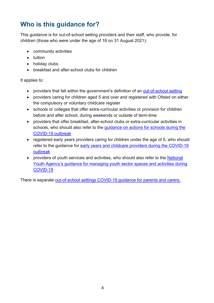# <span id="page-3-0"></span>**Who is this guidance for?**

This guidance is for out-of-school setting providers and their staff, who provide, for children (those who were under the age of 18 on 31 August 2021):

- community activities
- tuition
- holiday clubs
- breakfast and after-school clubs for children

It applies to:

- providers that fall within the government's definition of an [out-of-school setting](https://www.gov.uk/government/publications/keeping-children-safe-in-out-of-school-settings-code-of-practice?utm_source=OOSS&utm_medium=Lambeth&utm_campaign=CED)
- providers caring for children aged 5 and over and registered with Ofsted on either the compulsory or voluntary childcare register
- schools or colleges that offer extra-curricular activities or provision for children before and after school, during weekends or outside of term-time
- providers that offer breakfast, after-school clubs or extra-curricular activities in schools, who should also refer to the [guidance on actions for schools during the](https://www.gov.uk/government/publications/actions-for-schools-during-the-coronavirus-outbreak)  [COVID-19 outbreak](https://www.gov.uk/government/publications/actions-for-schools-during-the-coronavirus-outbreak)
- registered early years providers caring for children under the age of 5, who should refer to the guidance for [early years and childcare providers during the COVID-19](https://www.gov.uk/government/publications/coronavirus-covid-19-early-years-and-childcare-closures) [outbreak](https://www.gov.uk/government/publications/coronavirus-covid-19-early-years-and-childcare-closures)
- providers of youth services and activities, who should also refer to the National [Youth Agency's guidance for managing youth sector spaces and activities during](https://nya.org.uk/guidance/)  [COVID-19](https://nya.org.uk/guidance/)

There is separate [out-of-school settings COVID-19 guidance for parents and carers.](https://www.gov.uk/government/publications/guidance-for-parents-and-carers-of-children-attending-out-of-school-settings-during-the-coronavirus-covid-19-outbreak)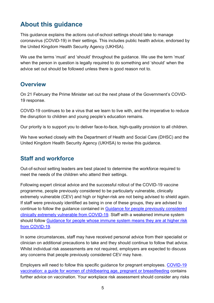# <span id="page-4-0"></span>**About this guidance**

This guidance explains the actions out-of-school settings should take to manage coronavirus (COVID-19) in their settings. This includes public health advice, endorsed by the United Kingdom Health Security Agency (UKHSA).

We use the terms 'must' and 'should' throughout the guidance. We use the term 'must' when the person in question is legally required to do something and 'should' when the advice set out should be followed unless there is good reason not to.

### <span id="page-4-1"></span>**Overview**

On 21 February the Prime Minister set out the next phase of the Government's COVID-19 response.

COVID-19 continues to be a virus that we learn to live with, and the imperative to reduce the disruption to children and young people's education remains.

Our priority is to support you to deliver face-to-face, high-quality provision to all children.

We have worked closely with the Department of Health and Social Care (DHSC) and the United Kingdom Health Security Agency (UKHSA) to revise this guidance.

## <span id="page-4-2"></span>**Staff and workforce**

Out-of-school setting leaders are best placed to determine the workforce required to meet the needs of the children who attend their settings.

Following expert clinical advice and the successful rollout of the COVID-19 vaccine programme, people previously considered to be particularly vulnerable, clinically extremely vulnerable (CEV) and high or higher-risk are not being advised to shield again. If staff were previously identified as being in one of these groups, they are advised to continue to follow the guidance contained in [Guidance for people previously considered](https://www.gov.uk/government/publications/guidance-on-shielding-and-protecting-extremely-vulnerable-persons-from-covid-19/guidance-on-shielding-and-protecting-extremely-vulnerable-persons-from-covid-19)  [clinically extremely vulnerable from COVID-19.](https://www.gov.uk/government/publications/guidance-on-shielding-and-protecting-extremely-vulnerable-persons-from-covid-19/guidance-on-shielding-and-protecting-extremely-vulnerable-persons-from-covid-19) Staff with a weakened immune system should follow [Guidance for people whose immune system means they are at higher risk](https://www.gov.uk/government/publications/covid-19-guidance-for-people-whose-immune-system-means-they-are-at-higher-risk/covid-19-guidance-for-people-whose-immune-system-means-they-are-at-higher-risk)  [from COVID-19.](https://www.gov.uk/government/publications/covid-19-guidance-for-people-whose-immune-system-means-they-are-at-higher-risk/covid-19-guidance-for-people-whose-immune-system-means-they-are-at-higher-risk)

In some circumstances, staff may have received personal advice from their specialist or clinician on additional precautions to take and they should continue to follow that advice. Whilst individual risk assessments are not required, employers are expected to discuss any concerns that people previously considered CEV may have.

Employers will need to follow this specific guidance for pregnant employees. [COVID-19](https://www.gov.uk/government/publications/covid-19-vaccination-women-of-childbearing-age-currently-pregnant-planning-a-pregnancy-or-breastfeeding/covid-19-vaccination-a-guide-for-women-of-childbearing-age-pregnant-planning-a-pregnancy-or-breastfeeding)  [vaccination: a guide for women of childbearing age, pregnant or breastfeeding](https://www.gov.uk/government/publications/covid-19-vaccination-women-of-childbearing-age-currently-pregnant-planning-a-pregnancy-or-breastfeeding/covid-19-vaccination-a-guide-for-women-of-childbearing-age-pregnant-planning-a-pregnancy-or-breastfeeding) contains further advice on vaccination. Your workplace risk assessment should consider any risks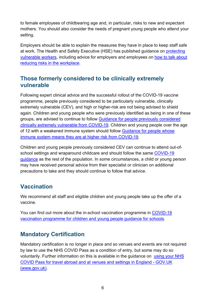to female employees of childbearing age and, in particular, risks to new and expectant mothers. You should also consider the needs of pregnant young people who attend your setting.

Employers should be able to explain the measures they have in place to keep staff safe at work. The Health and Safety Executive (HSE) has published guidance on [protecting](https://www.hse.gov.uk/coronavirus/working-safely/protect-people.htm)  [vulnerable workers,](https://www.hse.gov.uk/coronavirus/working-safely/protect-people.htm) including advice for employers and employees on [how to talk about](https://www.hse.gov.uk/coronavirus/working-safely/talking-to-your-workers/index.htm)  [reducing risks in the workplace.](https://www.hse.gov.uk/coronavirus/working-safely/talking-to-your-workers/index.htm)

# <span id="page-5-0"></span>**Those formerly considered to be clinically extremely vulnerable**

Following expert clinical advice and the successful rollout of the COVID-19 vaccine programme, people previously considered to be particularly vulnerable, clinically extremely vulnerable (CEV), and high or higher-risk are not being advised to shield again. Children and young people who were previously identified as being in one of these groups, are advised to continue to follow [Guidance for people previously considered](https://www.gov.uk/government/publications/guidance-on-shielding-and-protecting-extremely-vulnerable-persons-from-covid-19/guidance-on-shielding-and-protecting-extremely-vulnerable-persons-from-covid-19)  [clinically extremely vulnerable from COVID-19.](https://www.gov.uk/government/publications/guidance-on-shielding-and-protecting-extremely-vulnerable-persons-from-covid-19/guidance-on-shielding-and-protecting-extremely-vulnerable-persons-from-covid-19) Children and young people over the age of 12 with a weakened immune system should follow [Guidance for people whose](https://www.gov.uk/government/publications/covid-19-guidance-for-people-whose-immune-system-means-they-are-at-higher-risk/covid-19-guidance-for-people-whose-immune-system-means-they-are-at-higher-risk)  [immune system means they are at higher risk from COVID-19.](https://www.gov.uk/government/publications/covid-19-guidance-for-people-whose-immune-system-means-they-are-at-higher-risk/covid-19-guidance-for-people-whose-immune-system-means-they-are-at-higher-risk)

Children and young people previously considered CEV can continue to attend out-ofschool settings and wraparound childcare and should follow the same [COVID-19](https://www.gov.uk/coronavirus)  [guidance](https://www.gov.uk/coronavirus) as the rest of the population. In some circumstances, a child or young person may have received personal advice from their specialist or clinician on additional precautions to take and they should continue to follow that advice.

# <span id="page-5-1"></span>**Vaccination**

We recommend all staff and eligible children and young people take up the offer of a vaccine.

You can find out more about the in-school vaccination programme in [COVID-19](https://www.gov.uk/government/publications/covid-19-vaccination-resources-for-schools/covid-19-vaccination-programme-for-children-and-young-people-guidance-for-schools)  [vaccination programme for children and young people guidance for schools.](https://www.gov.uk/government/publications/covid-19-vaccination-resources-for-schools/covid-19-vaccination-programme-for-children-and-young-people-guidance-for-schools)

# <span id="page-5-2"></span>**Mandatory Certification**

Mandatory certification is no longer in place and so venues and events are not required by law to use the NHS COVID Pass as a condition of entry, but some may do so voluntarily. Further information on this is available in the guidance on using your NHS COVID Pass for travel abroad and at venues and settings in England - GOV.UK (www.gov.uk).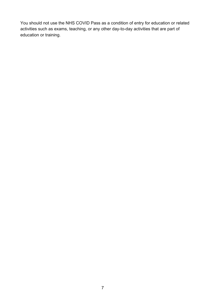You should not use the NHS COVID Pass as a condition of entry for education or related activities such as exams, teaching, or any other day-to-day activities that are part of education or training.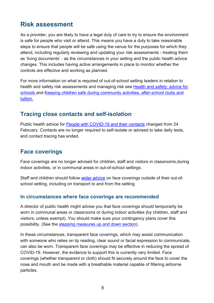# <span id="page-7-0"></span>**Risk assessment**

As a provider, you are likely to have a legal duty of care to try to ensure the environment is safe for people who visit or attend. This means you have a duty to take reasonable steps to ensure that people will be safe using the venue for the purposes for which they attend, including regularly reviewing and updating your risk assessments - treating them as 'living documents' - as the circumstances in your setting and the public health advice changes. This includes having active arrangements in place to monitor whether the controls are effective and working as planned.

For more information on what is required of out-of-school setting leaders in relation to health and safety risk assessments and managing risk see [Health and safety: advice for](https://www.gov.uk/government/publications/actions-for-schools-during-the-coronavirus-outbreak)  [schools](https://www.gov.uk/government/publications/actions-for-schools-during-the-coronavirus-outbreak) and [Keeping children safe during community activities, after-school clubs and](https://www.gov.uk/government/publications/keeping-children-safe-in-out-of-school-settings-code-of-practice?utm_source=OOSS&utm_medium=Lambeth&utm_campaign=CED)  [tuition.](https://www.gov.uk/government/publications/keeping-children-safe-in-out-of-school-settings-code-of-practice?utm_source=OOSS&utm_medium=Lambeth&utm_campaign=CED)

## <span id="page-7-1"></span>**Tracing close contacts and self-isolation**

Public health advice for [People with COVID-19 and their contacts](https://www.gov.uk/government/publications/covid-19-people-with-covid-19-and-their-contacts/covid-19-people-with-covid-19-and-their-contacts) changed from 24 February. Contacts are no longer required to self-isolate or advised to take daily tests, and contact tracing has ended.

## <span id="page-7-2"></span>**Face coverings**

Face coverings are no longer advised for children, staff and visitors in classrooms,during indoor activities, or in communal areas in out-of-school settings.

Staff and children should follow [wider advice](https://www.gov.uk/government/publications/face-coverings-when-to-wear-one-and-how-to-make-your-own/face-coverings-when-to-wear-one-and-how-to-make-your-own) on face coverings outside of their out-ofschool setting, including on transport to and from the setting.

#### <span id="page-7-3"></span>**In circumstances where face coverings are recommended**

A director of public health might advise you that face coverings should temporarily be worn in communal areas or classrooms or during indoor activities (by children, staff and visitors, unless exempt). You should make sure your contingency plans cover this possibility. (See the [stepping measures up and down section\)](#page-8-0).

In these circumstances, transparent face coverings, which may assist communication with someone who relies on lip reading, clear sound or facial expression to communicate, can also be worn. Transparent face coverings may be effective in reducing the spread of COVID-19. However, the evidence to support this is currently very limited. Face coverings (whether transparent or cloth) should fit securely around the face to cover the nose and mouth and be made with a breathable material capable of filtering airborne particles.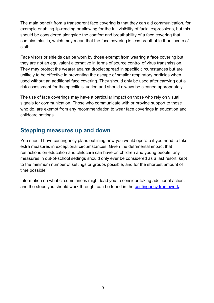The main benefit from a transparent face covering is that they can aid communication, for example enabling lip-reading or allowing for the full visibility of facial expressions, but this should be considered alongside the comfort and breathability of a face covering that contains plastic, which may mean that the face covering is less breathable than layers of cloth.

Face visors or shields can be worn by those exempt from wearing a face covering but they are not an equivalent alternative in terms of source control of virus transmission. They may protect the wearer against droplet spread in specific circumstances but are unlikely to be effective in preventing the escape of smaller respiratory particles when used without an additional face covering. They should only be used after carrying out a risk assessment for the specific situation and should always be cleaned appropriately.

The use of face coverings may have a particular impact on those who rely on visual signals for communication. Those who communicate with or provide support to those who do, are exempt from any recommendation to wear face coverings in education and childcare settings.

# <span id="page-8-0"></span>**Stepping measures up and down**

You should have contingency plans outlining how you would operate if you need to take extra measures in exceptional circumstances. Given the detrimental impact that restrictions on education and childcare can have on children and young people, any measures in out-of-school settings should only ever be considered as a last resort, kept to the minimum number of settings or groups possible, and for the shortest amount of time possible.

Information on what circumstances might lead you to consider taking additional action, and the steps you should work through, can be found in the [contingency framework.](https://www.gov.uk/government/publications/coronavirus-covid-19-local-restrictions-in-education-and-childcare-settings/contingency-framework-education-and-childcare-settings)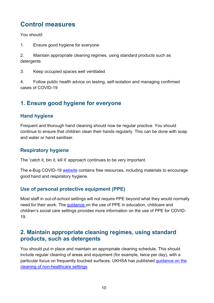# <span id="page-9-0"></span>**Control measures**

You should:

1. Ensure good hygiene for everyone

2. Maintain appropriate cleaning regimes, using standard products such as detergents

3. Keep occupied spaces well ventilated

4. Follow public health advice on testing, self-isolation and managing confirmed cases of COVID-19

# <span id="page-9-1"></span>**1. Ensure good hygiene for everyone**

#### <span id="page-9-2"></span>**Hand hygiene**

Frequent and thorough hand cleaning should now be regular practice. You should continue to ensure that children clean their hands regularly. This can be done with soap and water or hand sanitiser.

#### <span id="page-9-3"></span>**Respiratory hygiene**

The 'catch it, bin it, kill it' approach continues to be very important.

The e-Bug COVID-19 [website](https://e-bug.eu/eng_home.aspx?cc=eng&ss=1&t=Information%20about%20the%20Coronavirus) contains free resources, including materials to encourage good hand and respiratory hygiene.

#### <span id="page-9-4"></span>**Use of personal protective equipment (PPE)**

Most staff in out-of-school settings will not require PPE beyond what they would normally need for their work. The [guidance](https://www.gov.uk/government/publications/safe-working-in-education-childcare-and-childrens-social-care) on the use of PPE in education, childcare and children's social care settings provides more information on the use of PPE for COVID-19.

## <span id="page-9-5"></span>**2. Maintain appropriate cleaning regimes, using standard products, such as detergents**

You should put in place and maintain an appropriate cleaning schedule. This should include regular cleaning of areas and equipment (for example, twice per day), with a particular focus on frequently touched surfaces. UKHSA has published [guidance on the](https://www.gov.uk/government/publications/covid-19-decontamination-in-non-healthcare-settings)  [cleaning of non-healthcare settings.](https://www.gov.uk/government/publications/covid-19-decontamination-in-non-healthcare-settings)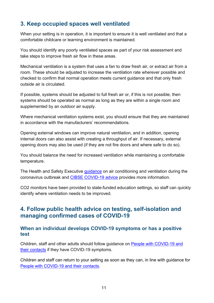# <span id="page-10-0"></span>**3. Keep occupied spaces well ventilated**

When your setting is in operation, it is important to ensure it is well ventilated and that a comfortable childcare or learning environment is maintained.

You should identify any poorly ventilated spaces as part of your risk assessment and take steps to improve fresh air flow in these areas.

Mechanical ventilation is a system that uses a fan to draw fresh air, or extract air from a room. These should be adjusted to increase the ventilation rate wherever possible and checked to confirm that normal operation meets current guidance and that only fresh outside air is circulated.

If possible, systems should be adjusted to full fresh air or, if this is not possible, then systems should be operated as normal as long as they are within a single room and supplemented by an outdoor air supply.

Where mechanical ventilation systems exist, you should ensure that they are maintained in accordance with the manufacturers' recommendations.

Opening external windows can improve natural ventilation, and in addition, opening internal doors can also assist with creating a throughput of air. If necessary, external opening doors may also be used (if they are not fire doors and where safe to do so).

You should balance the need for increased ventilation while maintaining a comfortable temperature.

The Health and Safety Executive quidance on air conditioning and ventilation during the coronavirus outbreak and [CIBSE COVID-19 advice](https://www.cibse.org/coronavirus-covid-19) provides more information.

CO2 monitors have been provided to state-funded education settings, so staff can quickly identify where ventilation needs to be improved.

## <span id="page-10-1"></span>**4. Follow public health advice on testing, self-isolation and managing confirmed cases of COVID-19**

#### <span id="page-10-2"></span>**When an individual develops COVID-19 symptoms or has a positive test**

Children, staff and other adults should follow guidance on People with [COVID-19 and](https://www.gov.uk/government/publications/covid-19-people-with-covid-19-and-their-contacts/covid-19-people-with-covid-19-and-their-contacts)  [their contacts](https://www.gov.uk/government/publications/covid-19-people-with-covid-19-and-their-contacts/covid-19-people-with-covid-19-and-their-contacts) if they have COVID-19 symptoms.

Children and staff can return to your setting as soon as they can, in line with guidance for [People with COVID-19 and their contacts.](https://www.gov.uk/government/publications/covid-19-people-with-covid-19-and-their-contacts/covid-19-people-with-covid-19-and-their-contacts)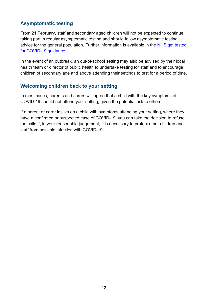#### <span id="page-11-0"></span>**Asymptomatic testing**

From 21 February, staff and secondary aged children will not be expected to continue taking part in regular asymptomatic testing and should follow asymptomatic testing advice for the general population. Further information is available in the [NHS get tested](https://www.nhs.uk/conditions/coronavirus-covid-19/testing/get-tested-for-coronavirus/)  [for COVID-19 guidance.](https://www.nhs.uk/conditions/coronavirus-covid-19/testing/get-tested-for-coronavirus/)

In the event of an outbreak, an out-of-school setting may also be advised by their local health team or director of public health to undertake testing for staff and to encourage children of secondary age and above attending their settings to test for a period of time.

#### <span id="page-11-1"></span>**Welcoming children back to your setting**

In most cases, parents and carers will agree that a child with the key symptoms of COVID-19 should not attend your setting, given the potential risk to others.

If a parent or carer insists on a child with symptoms attending your setting, where they have a confirmed or suspected case of COVID-19, you can take the decision to refuse the child if, in your reasonable judgement, it is necessary to protect other children and staff from possible infection with COVID-19..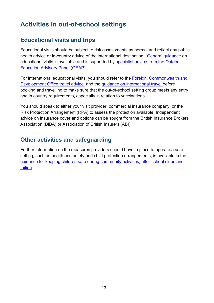# <span id="page-12-0"></span>**Activities in out-of-school settings**

# <span id="page-12-1"></span>**Educational visits and trips**

Educational visits should be subject to risk assessments as normal and reflect any public health advice or in-country advice of the international destination,. [General guidance](https://www.gov.uk/government/publications/health-and-safety-on-educational-visits) on educational visits is available and is supported by [specialist advice from the Outdoor](https://oeapng.info/)  [Education Advisory Panel \(OEAP\).](https://oeapng.info/)

For international educational visits, you should refer to the [Foreign, Commonwealth and](https://www.gov.uk/foreign-travel-advice)  [Development Office travel advice](https://www.gov.uk/foreign-travel-advice) and the [guidance on international travel](https://www.gov.uk/guidance/travel-to-england-from-another-country-during-coronavirus-covid-19) before booking and travelling to make sure that the out-of-school setting group meets any entry and in country requirements, especially in relation to vaccinations.

You should speak to either your visit provider, commercial insurance company, or the Risk Protection Arrangement (RPA) to assess the protection available. Independent advice on insurance cover and options can be sought from the British Insurance Brokers' Association (BIBA) or Association of British Insurers (ABI).

# <span id="page-12-2"></span>**Other activities and safeguarding**

Further information on the measures providers should have in place to operate a safe setting, such as health and safety and child protection arrangements, is available in the [guidance for keeping children safe during community activities, after-school clubs and](https://www.gov.uk/government/publications/keeping-children-safe-in-out-of-school-settings-code-of-practice)  [tuition.](https://www.gov.uk/government/publications/keeping-children-safe-in-out-of-school-settings-code-of-practice)